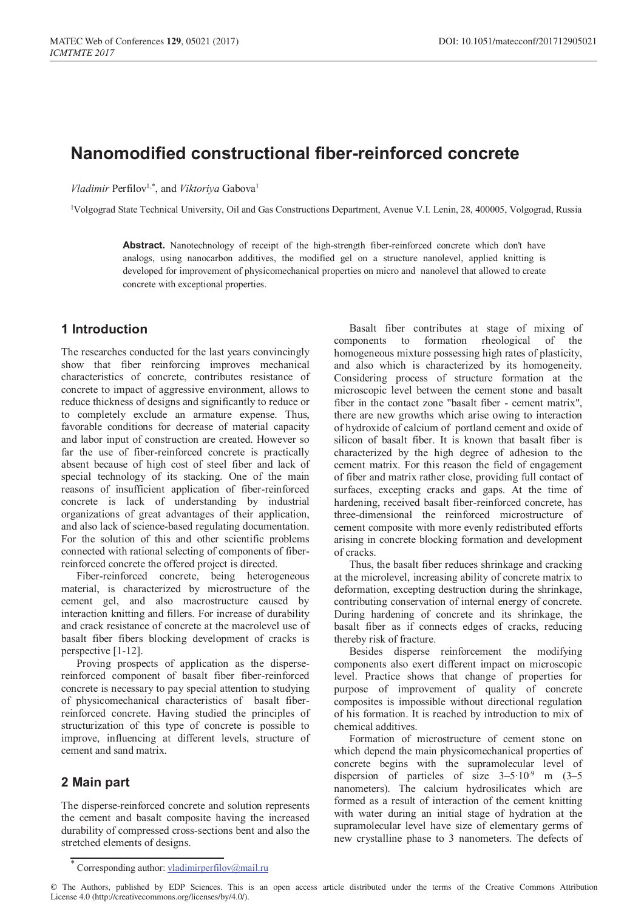# **Nanomodified constructional fiber-reinforced concrete**

*Vladimir* Perfilov<sup>1,\*</sup>, and *Viktoriya* Gabova<sup>1</sup>

1 Volgograd State Technical University, Oil and Gas Constructions Department, Avenue V.I. Lenin, 28, 400005, Volgograd, Russia

Abstract. Nanotechnology of receipt of the high-strength fiber-reinforced concrete which don't have analogs, using nanocarbon additives, the modified gel on a structure nanolevel, applied knitting is developed for improvement of physicomechanical properties on micro and nanolevel that allowed to create concrete with exceptional properties.

### **1 Introduction**

The researches conducted for the last years convincingly show that fiber reinforcing improves mechanical characteristics of concrete, contributes resistance of concrete to impact of aggressive environment, allows to reduce thickness of designs and significantly to reduce or to completely exclude an armature expense. Thus, favorable conditions for decrease of material capacity and labor input of construction are created. However so far the use of fiber-reinforced concrete is practically absent because of high cost of steel fiber and lack of special technology of its stacking. One of the main reasons of insufficient application of fiber-reinforced concrete is lack of understanding by industrial organizations of great advantages of their application, and also lack of science-based regulating documentation. For the solution of this and other scientific problems connected with rational selecting of components of fiberreinforced concrete the offered project is directed.

Fiber-reinforced concrete, being heterogeneous material, is characterized by microstructure of the cement gel, and also macrostructure caused by interaction knitting and fillers. For increase of durability and crack resistance of concrete at the macrolevel use of basalt fiber fibers blocking development of cracks is perspective [1-12].

Proving prospects of application as the dispersereinforced component of basalt fiber fiber-reinforced concrete is necessary to pay special attention to studying of physicomechanical characteristics of basalt fiberreinforced concrete. Having studied the principles of structurization of this type of concrete is possible to improve, influencing at different levels, structure of cement and sand matrix.

# **2 Main part**

The disperse-reinforced concrete and solution represents the cement and basalt composite having the increased durability of compressed cross-sections bent and also the stretched elements of designs.

Basalt fiber contributes at stage of mixing of components to formation rheological of the homogeneous mixture possessing high rates of plasticity, and also which is characterized by its homogeneity. Considering process of structure formation at the microscopic level between the cement stone and basalt fiber in the contact zone "basalt fiber - cement matrix", there are new growths which arise owing to interaction of hydroxide of calcium of portland cement and oxide of silicon of basalt fiber. It is known that basalt fiber is characterized by the high degree of adhesion to the cement matrix. For this reason the field of engagement of fiber and matrix rather close, providing full contact of surfaces, excepting cracks and gaps. At the time of hardening, received basalt fiber-reinforced concrete, has three-dimensional the reinforced microstructure of cement composite with more evenly redistributed efforts arising in concrete blocking formation and development of cracks.

Thus, the basalt fiber reduces shrinkage and cracking at the microlevel, increasing ability of concrete matrix to deformation, excepting destruction during the shrinkage, contributing conservation of internal energy of concrete. During hardening of concrete and its shrinkage, the basalt fiber as if connects edges of cracks, reducing thereby risk of fracture.

Besides disperse reinforcement the modifying components also exert different impact on microscopic level. Practice shows that change of properties for purpose of improvement of quality of concrete composites is impossible without directional regulation of his formation. It is reached by introduction to mix of chemical additives.

Formation of microstructure of cement stone on which depend the main physicomechanical properties of concrete begins with the supramolecular level of dispersion of particles of size 3–5∙10-9 m (3–5 nanometers). The calcium hydrosilicates which are formed as a result of interaction of the cement knitting with water during an initial stage of hydration at the supramolecular level have size of elementary germs of new crystalline phase to 3 nanometers. The defects of

Corresponding author: vladimirperfilov $@$ mail.ru

<sup>©</sup> The Authors, published by EDP Sciences. This is an open access article distributed under the terms of the Creative Commons Attribution License 4.0 (http://creativecommons.org/licenses/by/4.0/).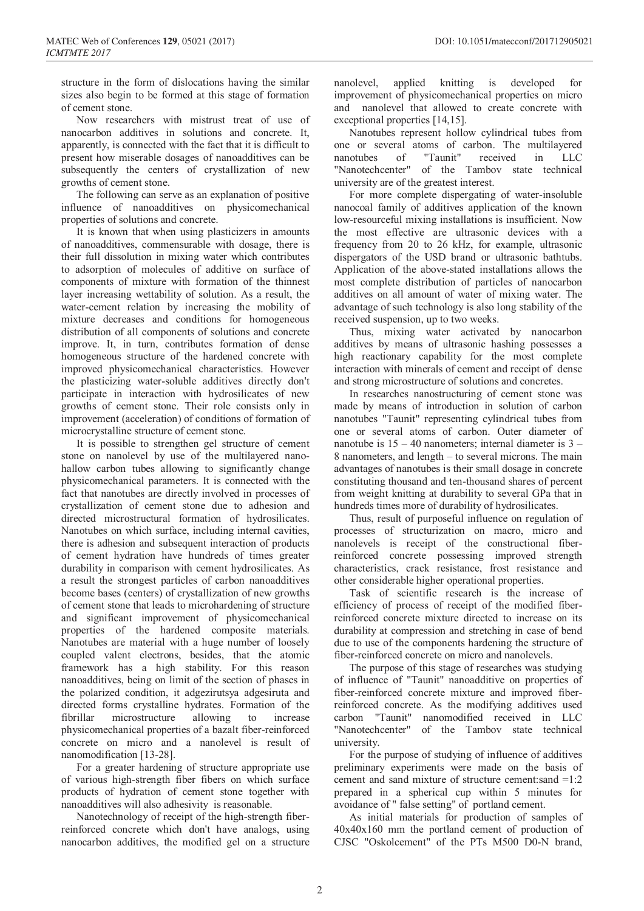structure in the form of dislocations having the similar sizes also begin to be formed at this stage of formation of cement stone.

Now researchers with mistrust treat of use of nanocarbon additives in solutions and concrete. It, apparently, is connected with the fact that it is difficult to present how miserable dosages of nanoadditives can be subsequently the centers of crystallization of new growths of cement stone.

The following can serve as an explanation of positive influence of nanoadditives on physicomechanical properties of solutions and concrete.

It is known that when using plasticizers in amounts of nanoadditives, commensurable with dosage, there is their full dissolution in mixing water which contributes to adsorption of molecules of additive on surface of components of mixture with formation of the thinnest layer increasing wettability of solution. As a result, the water-cement relation by increasing the mobility of mixture decreases and conditions for homogeneous distribution of all components of solutions and concrete improve. It, in turn, contributes formation of dense homogeneous structure of the hardened concrete with improved physicomechanical characteristics. However the plasticizing water-soluble additives directly don't participate in interaction with hydrosilicates of new growths of cement stone. Their role consists only in improvement (acceleration) of conditions of formation of microcrystalline structure of cement stone.

It is possible to strengthen gel structure of cement stone on nanolevel by use of the multilayered nanohallow carbon tubes allowing to significantly change physicomechanical parameters. It is connected with the fact that nanotubes are directly involved in processes of crystallization of cement stone due to adhesion and directed microstructural formation of hydrosilicates. Nanotubes on which surface, including internal cavities, there is adhesion and subsequent interaction of products of cement hydration have hundreds of times greater durability in comparison with cement hydrosilicates. As a result the strongest particles of carbon nanoadditives become bases (centers) of crystallization of new growths of cement stone that leads to microhardening of structure and significant improvement of physicomechanical properties of the hardened composite materials. Nanotubes are material with a huge number of loosely coupled valent electrons, besides, that the atomic framework has a high stability. For this reason nanoadditives, being on limit of the section of phases in the polarized condition, it adgezirutsya adgesiruta and directed forms crystalline hydrates. Formation of the fibrillar microstructure allowing to increase physicomechanical properties of a bazalt fiber-reinforced concrete on micro and a nanolevel is result of nanomodification [13-28].

For a greater hardening of structure appropriate use of various high-strength fiber fibers on which surface products of hydration of cement stone together with nanoadditives will also adhesivity is reasonable.

Nanotechnology of receipt of the high-strength fiberreinforced concrete which don't have analogs, using nanocarbon additives, the modified gel on a structure nanolevel, applied knitting is developed for improvement of physicomechanical properties on micro and nanolevel that allowed to create concrete with exceptional properties [14,15].

Nanotubes represent hollow cylindrical tubes from one or several atoms of carbon. The multilayered nanotubes of "Taunit" received in LLC "Nanotechcenter" of the Tambov state technical university are of the greatest interest.

For more complete dispergating of water-insoluble nanocoal family of additives application of the known low-resourceful mixing installations is insufficient. Now the most effective are ultrasonic devices with a frequency from 20 to 26 kHz, for example, ultrasonic dispergators of the USD brand or ultrasonic bathtubs. Application of the above-stated installations allows the most complete distribution of particles of nanocarbon additives on all amount of water of mixing water. The advantage of such technology is also long stability of the received suspension, up to two weeks.

Thus, mixing water activated by nanocarbon additives by means of ultrasonic hashing possesses a high reactionary capability for the most complete interaction with minerals of cement and receipt of dense and strong microstructure of solutions and concretes.

In researches nanostructuring of cement stone was made by means of introduction in solution of carbon nanotubes "Taunit" representing cylindrical tubes from one or several atoms of carbon. Outer diameter of nanotube is  $15 - 40$  nanometers; internal diameter is  $3 -$ 8 nanometers, and length – to several microns. The main advantages of nanotubes is their small dosage in concrete constituting thousand and ten-thousand shares of percent from weight knitting at durability to several GPa that in hundreds times more of durability of hydrosilicates.

Thus, result of purposeful influence on regulation of processes of structurization on macro, micro and nanolevels is receipt of the constructional fiberreinforced concrete possessing improved strength characteristics, crack resistance, frost resistance and other considerable higher operational properties.

Task of scientific research is the increase of efficiency of process of receipt of the modified fiberreinforced concrete mixture directed to increase on its durability at compression and stretching in case of bend due to use of the components hardening the structure of fiber-reinforced concrete on micro and nanolevels.

The purpose of this stage of researches was studying of influence of "Taunit" nanoadditive on properties of fiber-reinforced concrete mixture and improved fiberreinforced concrete. As the modifying additives used carbon "Taunit" nanomodified received in LLC "Nanoteсhcenter" of the Tambov state technical university.

For the purpose of studying of influence of additives preliminary experiments were made on the basis of cement and sand mixture of structure cement:sand =1:2 prepared in a spherical cup within 5 minutes for avoidance of " false setting" of portland cement.

As initial materials for production of samples of 40х40х160 mm the portland cement of production of CJSC "Oskolсement" of the PTs M500 D0-N brand,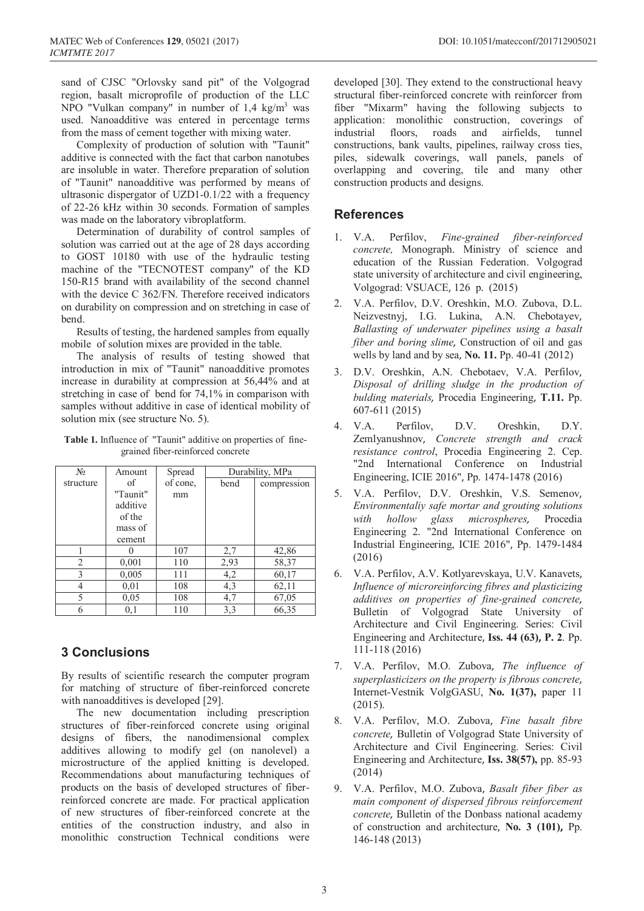sand of CJSC "Orlovsky sand pit" of the Volgograd region, basalt microprofile of production of the LLC NPO "Vulkan company" in number of  $1.4 \text{ kg/m}^3$  was used. Nanoadditive was entered in percentage terms from the mass of cement together with mixing water.

Complexity of production of solution with "Taunit" additive is connected with the fact that carbon nanotubes are insoluble in water. Therefore preparation of solution of "Taunit" nanoadditive was performed by means of ultrasonic dispergator of UZD1-0.1/22 with a frequency of 22-26 kHz within 30 seconds. Formation of samples was made on the laboratory vibroplatform.

Determination of durability of control samples of solution was carried out at the age of 28 days according to GOST 10180 with use of the hydraulic testing machine of the "TECNOTEST company" of the KD 150-R15 brand with availability of the second channel with the device C 362/FN. Therefore received indicators on durability on compression and on stretching in case of bend.

Results of testing, the hardened samples from equally mobile of solution mixes are provided in the table.

The analysis of results of testing showed that introduction in mix of "Taunit" nanoadditive promotes increase in durability at compression at 56,44% and at stretching in case of bend for 74,1% in comparison with samples without additive in case of identical mobility of solution mix (see structure No. 5).

**Table 1.** Influence of "Taunit" additive on properties of finegrained fiber-reinforced concrete

| $N_2$     | Amount   | Spread   | Durability, MPa |             |
|-----------|----------|----------|-----------------|-------------|
| structure | of       | of cone. | bend            | compression |
|           | "Taunit" | mm       |                 |             |
|           | additive |          |                 |             |
|           | of the   |          |                 |             |
|           | mass of  |          |                 |             |
|           | cement   |          |                 |             |
|           |          | 107      | 2,7             | 42,86       |
| 2         | 0,001    | 110      | 2,93            | 58,37       |
| 3         | 0,005    | 111      | 4,2             | 60,17       |
| 4         | 0,01     | 108      | 4,3             | 62,11       |
| 5         | 0.05     | 108      | 4,7             | 67,05       |
| 6         | 0,1      | 110      | 3,3             | 66,35       |

# **3 Conclusions**

By results of scientific research the computer program for matching of structure of fiber-reinforced concrete with nanoadditives is developed [29].

The new documentation including prescription structures of fiber-reinforced concrete using original designs of fibers, the nanodimensional complex additives allowing to modify gel (on nanolevel) a microstructure of the applied knitting is developed. Recommendations about manufacturing techniques of products on the basis of developed structures of fiberreinforced concrete are made. For practical application of new structures of fiber-reinforced concrete at the entities of the construction industry, and also in monolithic construction Technical conditions were

developed [30]. They extend to the constructional heavy structural fiber-reinforced concrete with reinforcer from fiber "Mixarm" having the following subjects to application: monolithic construction, coverings of industrial floors, roads and airfields, tunnel constructions, bank vaults, pipelines, railway cross ties, piles, sidewalk coverings, wall panels, panels of overlapping and covering, tile and many other construction products and designs.

### **References**

- 1. V.A. Perfilov, *Fine-grained fiber-reinforced concrete,* Monograph. Ministry of science and education of the Russian Federation. Volgograd state university of architecture and civil engineering, Volgograd: VSUACE, 126 p. (2015)
- 2. V.A. Perfilov, D.V. Oreshkin, M.O. Zubova, D.L. Neizvestnyj, I.G. Lukina, A.N. Chebotayev, *Ballasting of underwater pipelines using a basalt fiber and boring slime,* Construction of oil and gas wells by land and by sea, **No. 11.** Pp. 40-41 (2012)
- 3. D.V. Oreshkin, A.N. Chebotaev, V.A. Perfilov, *Disposal of drilling sludge in the production of bulding materials,* Procedia Engineering, **T.11.** Pp. 607-611 (2015)
- 4. V.A. Perfilov, D.V. Oreshkin, D.Y. Zemlyanushnov, *Concrete strength and crack resistance control*, Procedia Engineering 2. Сер. "2nd International Conference on Industrial Engineering, ICIE 2016", Pp. 1474-1478 (2016)
- 5. V.A. Perfilov, D.V. Oreshkin, V.S. Semenov, *Environmentaliy safe mortar and grouting solutions with hollow glass microspheres,* Procedia Engineering 2. "2nd International Conference on Industrial Engineering, ICIE 2016", Pp. 1479-1484 (2016)
- 6. V.A. Perfilov, A.V. Kotlyarevskaya, U.V. Kanavets, *Influence of microreinforcing fibres and plasticizing additives on properties of fine-grained concrete,* Bulletin of Volgograd State University of Architecture and Civil Engineering. Series: Civil Engineering and Architecture, **Iss. 44 (63), P. 2**. Pp. 111-118 (2016)
- 7. V.A. Perfilov, M.O. Zubova, *The influence of superplasticizers on the property is fibrous concrete,* Internet-Vestnik VolgGASU, **No. 1(37),** paper 11 (2015).
- 8. V.A. Perfilov, M.O. Zubova, *Fine basalt fibre concrete,* Bulletin of Volgograd State University of Architecture and Civil Engineering. Series: Civil Engineering and Architecture, **Iss. 38(57),** pp. 85-93 (2014)
- 9. V.A. Perfilov, M.O. Zubova, *Basalt fiber fiber as main component of dispersed fibrous reinforcement concrete,* Bulletin of the Donbass national academy of construction and architecture, **No. 3 (101),** Pp. 146-148 (2013)